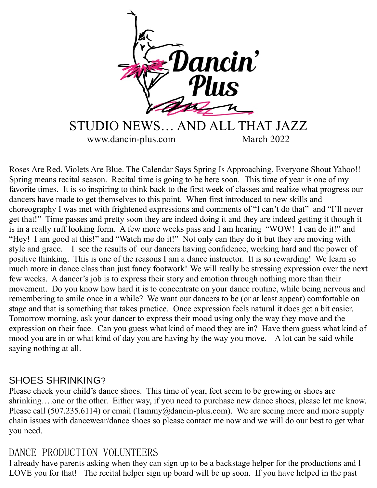

Roses Are Red. Violets Are Blue. The Calendar Says Spring Is Approaching. Everyone Shout Yahoo!! Spring means recital season. Recital time is going to be here soon. This time of year is one of my favorite times. It is so inspiring to think back to the first week of classes and realize what progress our dancers have made to get themselves to this point. When first introduced to new skills and choreography I was met with frightened expressions and comments of "I can't do that" and "I'll never get that!" Time passes and pretty soon they are indeed doing it and they are indeed getting it though it is in a really ruff looking form. A few more weeks pass and I am hearing "WOW! I can do it!" and "Hey! I am good at this!" and "Watch me do it!" Not only can they do it but they are moving with style and grace. I see the results of our dancers having confidence, working hard and the power of positive thinking. This is one of the reasons I am a dance instructor. It is so rewarding! We learn so much more in dance class than just fancy footwork! We will really be stressing expression over the next few weeks. A dancer's job is to express their story and emotion through nothing more than their movement. Do you know how hard it is to concentrate on your dance routine, while being nervous and remembering to smile once in a while? We want our dancers to be (or at least appear) comfortable on stage and that is something that takes practice. Once expression feels natural it does get a bit easier. Tomorrow morning, ask your dancer to express their mood using only the way they move and the expression on their face. Can you guess what kind of mood they are in? Have them guess what kind of mood you are in or what kind of day you are having by the way you move. A lot can be said while saying nothing at all.

#### SHOES SHRINKING?

Please check your child's dance shoes. This time of year, feet seem to be growing or shoes are shrinking….one or the other. Either way, if you need to purchase new dance shoes, please let me know. Please call (507.235.6114) or email (Tammy@dancin-plus.com). We are seeing more and more supply chain issues with dancewear/dance shoes so please contact me now and we will do our best to get what you need.

# DANCE PRODUCTION VOLUNTEERS

I already have parents asking when they can sign up to be a backstage helper for the productions and I LOVE you for that! The recital helper sign up board will be up soon. If you have helped in the past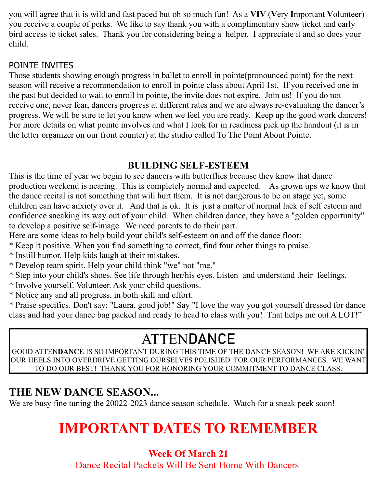you will agree that it is wild and fast paced but oh so much fun! As a **VIV** (**V**ery **I**mportant **V**olunteer) you receive a couple of perks. We like to say thank you with a complimentary show ticket and early bird access to ticket sales. Thank you for considering being a helper. I appreciate it and so does your child.

## POINTE INVITES

Those students showing enough progress in ballet to enroll in pointe(pronounced point) for the next season will receive a recommendation to enroll in pointe class about April 1st. If you received one in the past but decided to wait to enroll in pointe, the invite does not expire. Join us! If you do not receive one, never fear, dancers progress at different rates and we are always re-evaluating the dancer's progress. We will be sure to let you know when we feel you are ready. Keep up the good work dancers! For more details on what pointe involves and what I look for in readiness pick up the handout (it is in the letter organizer on our front counter) at the studio called To The Point About Pointe.

## **BUILDING SELF-ESTEEM**

This is the time of year we begin to see dancers with butterflies because they know that dance production weekend is nearing. This is completely normal and expected. As grown ups we know that the dance recital is not something that will hurt them. It is not dangerous to be on stage yet, some children can have anxiety over it. And that is ok. It is just a matter of normal lack of self esteem and confidence sneaking its way out of your child. When children dance, they have a "golden opportunity" to develop a positive self-image. We need parents to do their part.

Here are some ideas to help build your child's self-esteem on and off the dance floor:

- \* Keep it positive. When you find something to correct, find four other things to praise.
- \* Instill humor. Help kids laugh at their mistakes.
- \* Develop team spirit. Help your child think "we" not "me."
- \* Step into your child's shoes. See life through her/his eyes. Listen and understand their feelings.
- \* Involve yourself. Volunteer. Ask your child questions.
- \* Notice any and all progress, in both skill and effort.

\* Praise specifics. Don't say: "Laura, good job!" Say "I love the way you got yourself dressed for dance class and had your dance bag packed and ready to head to class with you! That helps me out A LOT!"

# ATTEN**DANCE**

GOOD ATTEN**DANCE** IS SO IMPORTANT DURING THIS TIME OF THE DANCE SEASON! WE ARE KICKIN' OUR HEELS INTO OVERDRIVE GETTING OURSELVES POLISHED FOR OUR PERFORMANCES. WE WANT TO DO OUR BEST! THANK YOU FOR HONORING YOUR COMMITMENT TO DANCE CLASS.

# **THE NEW DANCE SEASON...**

We are busy fine tuning the 20022-2023 dance season schedule. Watch for a sneak peek soon!

# **IMPORTANT DATES TO REMEMBER**

# **Week Of March 21**

Dance Recital Packets Will Be Sent Home With Dancers